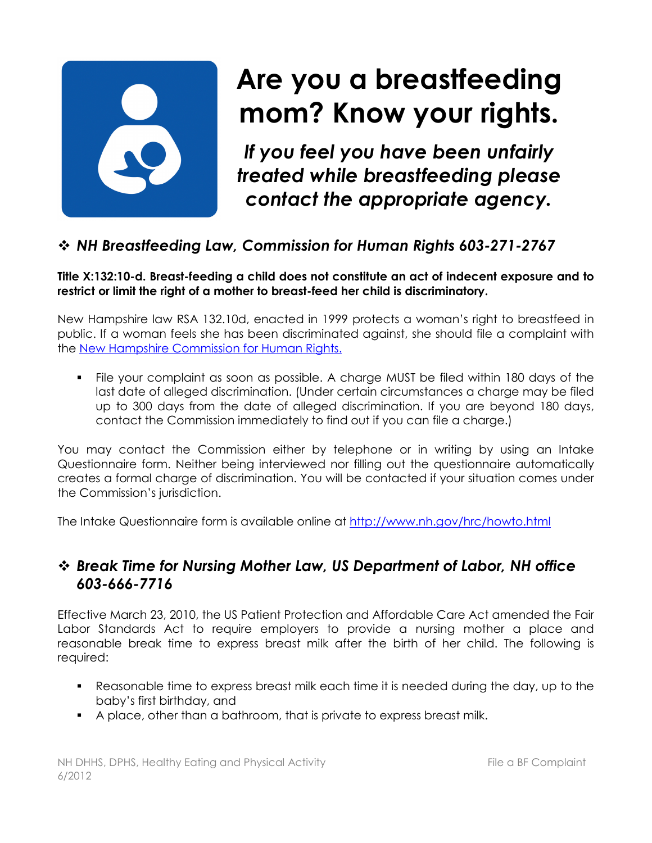

# **Are you a breastfeeding mom? Know your rights.**

*If you feel you have been unfairly treated while breastfeeding please contact the appropriate agency.*

## *NH Breastfeeding Law, Commission for Human Rights 603-271-2767*

**Title X:132:10-d. Breast-feeding a child does not constitute an act of indecent exposure and to restrict or limit the right of a mother to breast-feed her child is discriminatory.** 

New Hampshire law RSA 132.10d, enacted in 1999 protects a woman's right to breastfeed in public. If a woman feels she has been discriminated against, she should file a complaint with the New Hampshire Commission for Human Rights.

 File your complaint as soon as possible. A charge MUST be filed within 180 days of the last date of alleged discrimination. (Under certain circumstances a charge may be filed up to 300 days from the date of alleged discrimination. If you are beyond 180 days, contact the Commission immediately to find out if you can file a charge.)

You may contact the Commission either by telephone or in writing by using an Intake Questionnaire form. Neither being interviewed nor filling out the questionnaire automatically creates a formal charge of discrimination. You will be contacted if your situation comes under the Commission's jurisdiction.

The Intake Questionnaire form is available online at http://www.nh.gov/hrc/howto.html

## *Break Time for Nursing Mother Law, US Department of Labor, NH office 603-666-7716*

Effective March 23, 2010, the US Patient Protection and Affordable Care Act amended the Fair Labor Standards Act to require employers to provide a nursing mother a place and reasonable break time to express breast milk after the birth of her child. The following is required:

- Reasonable time to express breast milk each time it is needed during the day, up to the baby's first birthday, and
- A place, other than a bathroom, that is private to express breast milk.